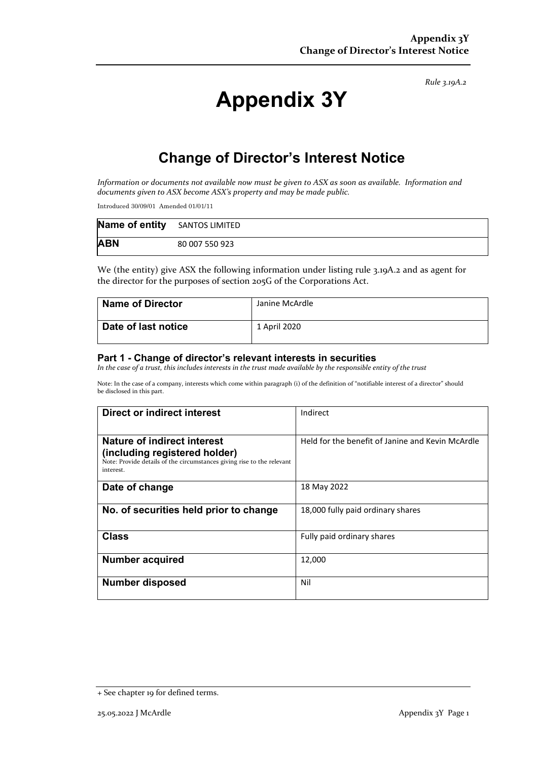*Rule 3.19A.2*

# **Appendix 3Y**

# **Change of Director's Interest Notice**

*Information or documents not available now must be given to ASX as soon as available. Information and documents given to ASX become ASX's property and may be made public.*

Introduced 30/09/01 Amended 01/01/11

| <b>Name of entity</b> SANTOS LIMITED |                |
|--------------------------------------|----------------|
| <b>ABN</b>                           | 80 007 550 923 |

We (the entity) give ASX the following information under listing rule 3.19A.2 and as agent for the director for the purposes of section 205G of the Corporations Act.

| <b>Name of Director</b> | Janine McArdle |
|-------------------------|----------------|
| Date of last notice     | 1 April 2020   |

#### **Part 1 - Change of director's relevant interests in securities**

*In the case of a trust, this includes interests in the trust made available by the responsible entity of the trust*

Note: In the case of a company, interests which come within paragraph (i) of the definition of "notifiable interest of a director" should be disclosed in this part.

| <b>Direct or indirect interest</b>                                                                                   | Indirect                                         |  |
|----------------------------------------------------------------------------------------------------------------------|--------------------------------------------------|--|
|                                                                                                                      |                                                  |  |
| Nature of indirect interest                                                                                          | Held for the benefit of Janine and Kevin McArdle |  |
| (including registered holder)<br>Note: Provide details of the circumstances giving rise to the relevant<br>interest. |                                                  |  |
| Date of change                                                                                                       | 18 May 2022                                      |  |
| No. of securities held prior to change                                                                               | 18,000 fully paid ordinary shares                |  |
| <b>Class</b>                                                                                                         | Fully paid ordinary shares                       |  |
| <b>Number acquired</b>                                                                                               | 12,000                                           |  |
| <b>Number disposed</b>                                                                                               | Nil                                              |  |

<sup>+</sup> See chapter 19 for defined terms.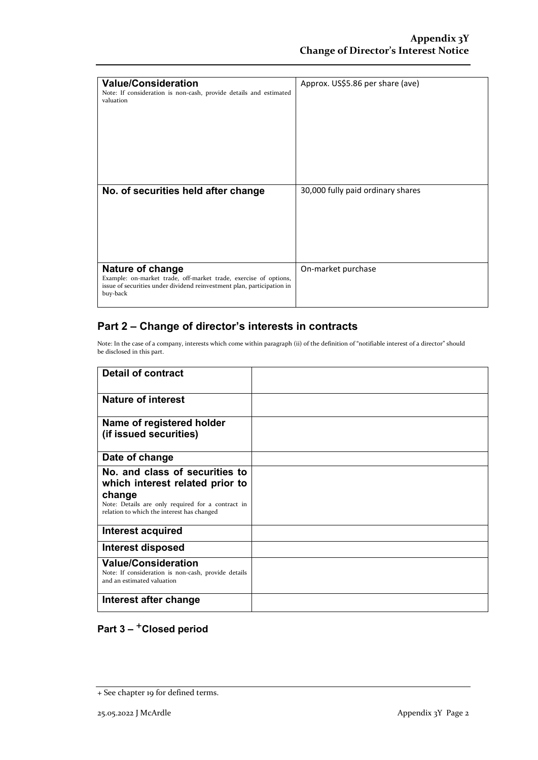| <b>Value/Consideration</b><br>Note: If consideration is non-cash, provide details and estimated<br>valuation                                                               | Approx. US\$5.86 per share (ave)  |
|----------------------------------------------------------------------------------------------------------------------------------------------------------------------------|-----------------------------------|
| No. of securities held after change                                                                                                                                        | 30,000 fully paid ordinary shares |
| Nature of change<br>Example: on-market trade, off-market trade, exercise of options,<br>issue of securities under dividend reinvestment plan, participation in<br>buy-back | On-market purchase                |

### **Part 2 – Change of director's interests in contracts**

Note: In the case of a company, interests which come within paragraph (ii) of the definition of "notifiable interest of a director" should be disclosed in this part.

| <b>Detail of contract</b>                                                                                       |  |
|-----------------------------------------------------------------------------------------------------------------|--|
| Nature of interest                                                                                              |  |
| Name of registered holder<br>(if issued securities)                                                             |  |
| Date of change                                                                                                  |  |
| No. and class of securities to<br>which interest related prior to                                               |  |
| change<br>Note: Details are only required for a contract in<br>relation to which the interest has changed       |  |
| Interest acquired                                                                                               |  |
| Interest disposed                                                                                               |  |
| <b>Value/Consideration</b><br>Note: If consideration is non-cash, provide details<br>and an estimated valuation |  |
| Interest after change                                                                                           |  |

## **Part 3 –** +**Closed period**

<sup>+</sup> See chapter 19 for defined terms.